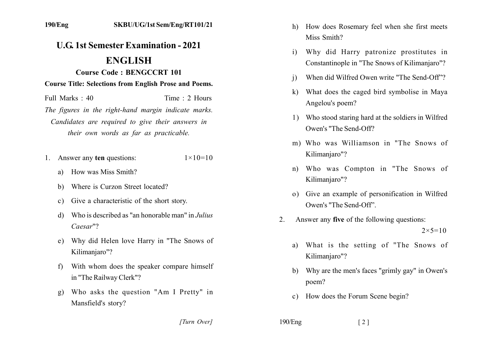## **U.G. 1st Semester Examination - 2021**

## **ENGLISH**

**Course Code: BENGCCRT 101** 

**Course Title: Selections from English Prose and Poems.** 

Time  $\cdot$  2 Hours Full Marks  $\cdot$  40

The figures in the right-hand margin indicate marks. Candidates are required to give their answers in their own words as far as practicable.

- 1. Answer any ten questions:  $1 \times 10 = 10$ 
	- a) How was Miss Smith?
	- Where is Curzon Street located?  $h$ )
	- Give a characteristic of the short story.  $c)$
	- Who is described as "an honorable man" in *Julius*  $d)$  $Caesar"$ ?
	- Why did Helen love Harry in "The Snows of  $e)$ Kilimanjaro"?
	- With whom does the speaker compare himself  $f$ in "The Railway Clerk"?
	- Who asks the question "Am I Pretty" in  $\mathbf{g}$ ) Mansfield's story?
		- [Turn Over]
- h) How does Rosemary feel when she first meets Miss Smith?
- Why did Harry patronize prostitutes in  $\mathbf{i}$ Constantinople in "The Snows of Kilimaniaro"?
- When did Wilfred Owen write "The Send-Off"?  $\overline{1}$
- What does the caged bird symbolise in Maya  $\bf k$ Angelou's poem?
- 1) Who stood staring hard at the soldiers in Wilfred Owen's "The Send-Off?
- m) Who was Williamson in "The Snows of Kilimanjaro"?
- Who was Compton in "The Snows of  $n$ ) Kilimaniaro"?
- o) Give an example of personification in Wilfred Owen's "The Send-Off"
- $2.$ Answer any five of the following questions:  $2 \times 5 = 10$ 
	- a) What is the setting of "The Snows of Kilimanjaro"?
	- Why are the men's faces "grimly gay" in Owen's  $b)$ poem?
	- c) How does the Forum Scene begin?
- 

 $190/Eng$ 

 $\lceil 2 \rceil$